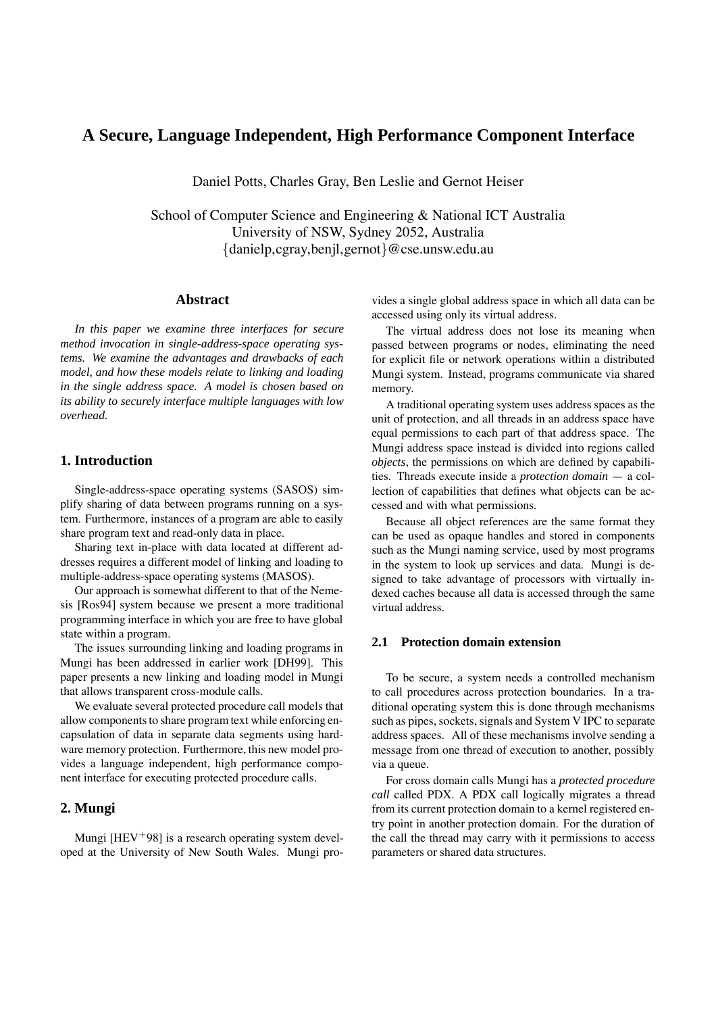# **A Secure, Language Independent, High Performance Component Interface**

Daniel Potts, Charles Gray, Ben Leslie and Gernot Heiser

School of Computer Science and Engineering & National ICT Australia University of NSW, Sydney 2052, Australia *{*danielp,cgray,benjl,gernot*}*@cse.unsw.edu.au

# **Abstract**

*In this paper we examine three interfaces for secure method invocation in single-address-space operating systems. We examine the advantages and drawbacks of each model, and how these models relate to linking and loading in the single address space. A model is chosen based on its ability to securely interface multiple languages with low overhead.*

# **1. Introduction**

Single-address-space operating systems (SASOS) simplify sharing of data between programs running on a system. Furthermore, instances of a program are able to easily share program text and read-only data in place.

Sharing text in-place with data located at different addresses requires a different model of linking and loading to multiple-address-space operating systems (MASOS).

Our approach is somewhat different to that of the Nemesis [Ros94] system because we present a more traditional programming interface in which you are free to have global state within a program.

The issues surrounding linking and loading programs in Mungi has been addressed in earlier work [DH99]. This paper presents a new linking and loading model in Mungi that allows transparent cross-module calls.

We evaluate several protected procedure call models that allow components to share program text while enforcing encapsulation of data in separate data segments using hardware memory protection. Furthermore, this new model provides a language independent, high performance component interface for executing protected procedure calls.

# **2. Mungi**

Mungi  $[HEV + 98]$  is a research operating system developed at the University of New South Wales. Mungi provides a single global address space in which all data can be accessed using only its virtual address.

The virtual address does not lose its meaning when passed between programs or nodes, eliminating the need for explicit file or network operations within a distributed Mungi system. Instead, programs communicate via shared memory.

A traditional operating system uses address spaces as the unit of protection, and all threads in an address space have equal permissions to each part of that address space. The Mungi address space instead is divided into regions called *objects*, the permissions on which are defined by capabilities. Threads execute inside a *protection domain* — a collection of capabilities that defines what objects can be accessed and with what permissions.

Because all object references are the same format they can be used as opaque handles and stored in components such as the Mungi naming service, used by most programs in the system to look up services and data. Mungi is designed to take advantage of processors with virtually indexed caches because all data is accessed through the same virtual address.

#### **2.1 Protection domain extension**

To be secure, a system needs a controlled mechanism to call procedures across protection boundaries. In a traditional operating system this is done through mechanisms such as pipes, sockets, signals and System V IPC to separate address spaces. All of these mechanisms involve sending a message from one thread of execution to another, possibly via a queue.

For cross domain calls Mungi has a *protected procedure call* called PDX. A PDX call logically migrates a thread from its current protection domain to a kernel registered entry point in another protection domain. For the duration of the call the thread may carry with it permissions to access parameters or shared data structures.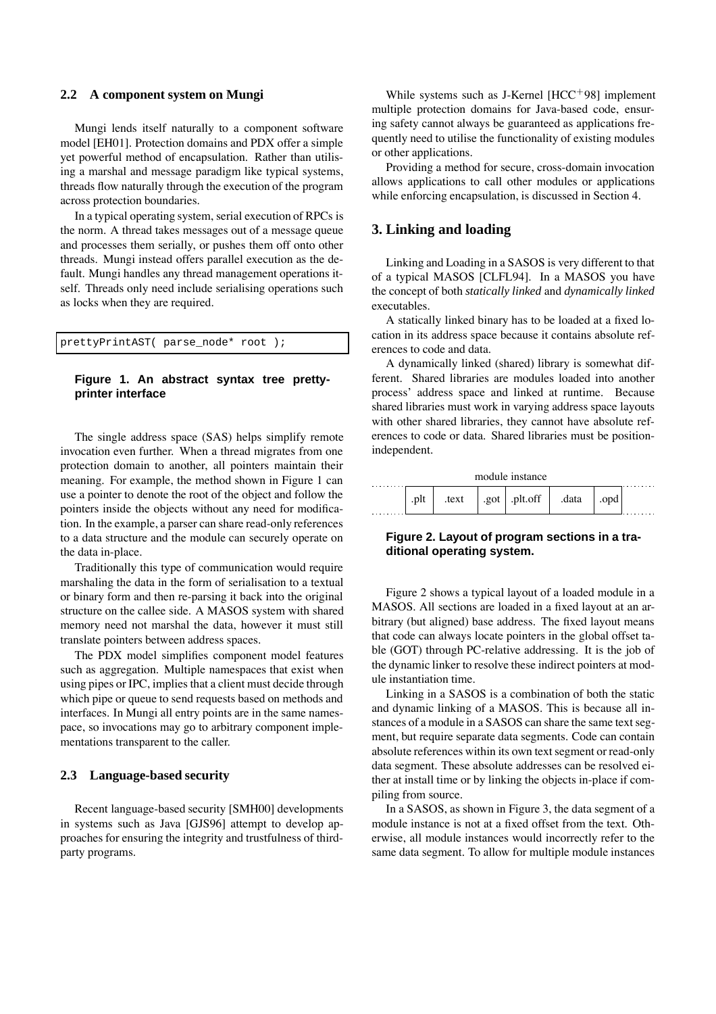#### **2.2 A component system on Mungi**

Mungi lends itself naturally to a component software model [EH01]. Protection domains and PDX offer a simple yet powerful method of encapsulation. Rather than utilising a marshal and message paradigm like typical systems, threads flow naturally through the execution of the program across protection boundaries.

In a typical operating system, serial execution of RPCs is the norm. A thread takes messages out of a message queue and processes them serially, or pushes them off onto other threads. Mungi instead offers parallel execution as the default. Mungi handles any thread management operations itself. Threads only need include serialising operations such as locks when they are required.

prettyPrintAST( parse\_node\* root );

## **Figure 1. An abstract syntax tree prettyprinter interface**

The single address space (SAS) helps simplify remote invocation even further. When a thread migrates from one protection domain to another, all pointers maintain their meaning. For example, the method shown in Figure 1 can use a pointer to denote the root of the object and follow the pointers inside the objects without any need for modification. In the example, a parser can share read-only references to a data structure and the module can securely operate on the data in-place.

Traditionally this type of communication would require marshaling the data in the form of serialisation to a textual or binary form and then re-parsing it back into the original structure on the callee side. A MASOS system with shared memory need not marshal the data, however it must still translate pointers between address spaces.

The PDX model simplifies component model features such as aggregation. Multiple namespaces that exist when using pipes or IPC, implies that a client must decide through which pipe or queue to send requests based on methods and interfaces. In Mungi all entry points are in the same namespace, so invocations may go to arbitrary component implementations transparent to the caller.

#### **2.3 Language-based security**

Recent language-based security [SMH00] developments in systems such as Java [GJS96] attempt to develop approaches for ensuring the integrity and trustfulness of thirdparty programs.

While systems such as J-Kernel  $[HCC+98]$  implement multiple protection domains for Java-based code, ensuring safety cannot always be guaranteed as applications frequently need to utilise the functionality of existing modules or other applications.

Providing a method for secure, cross-domain invocation allows applications to call other modules or applications while enforcing encapsulation, is discussed in Section 4.

### **3. Linking and loading**

Linking and Loading in a SASOS is very different to that of a typical MASOS [CLFL94]. In a MASOS you have the concept of both *statically linked* and *dynamically linked* executables.

A statically linked binary has to be loaded at a fixed location in its address space because it contains absolute references to code and data.

A dynamically linked (shared) library is somewhat different. Shared libraries are modules loaded into another process' address space and linked at runtime. Because shared libraries must work in varying address space layouts with other shared libraries, they cannot have absolute references to code or data. Shared libraries must be positionindependent.

| module instance |  |       |      |            |       |  |  |  |  |  |
|-----------------|--|-------|------|------------|-------|--|--|--|--|--|
|                 |  | .text | .got | .nlt.off ' | .data |  |  |  |  |  |

## **Figure 2. Layout of program sections in a traditional operating system.**

Figure 2 shows a typical layout of a loaded module in a MASOS. All sections are loaded in a fixed layout at an arbitrary (but aligned) base address. The fixed layout means that code can always locate pointers in the global offset table (GOT) through PC-relative addressing. It is the job of the dynamic linker to resolve these indirect pointers at module instantiation time.

Linking in a SASOS is a combination of both the static and dynamic linking of a MASOS. This is because all instances of a module in a SASOS can share the same text segment, but require separate data segments. Code can contain absolute references within its own text segment or read-only data segment. These absolute addresses can be resolved either at install time or by linking the objects in-place if compiling from source.

In a SASOS, as shown in Figure 3, the data segment of a module instance is not at a fixed offset from the text. Otherwise, all module instances would incorrectly refer to the same data segment. To allow for multiple module instances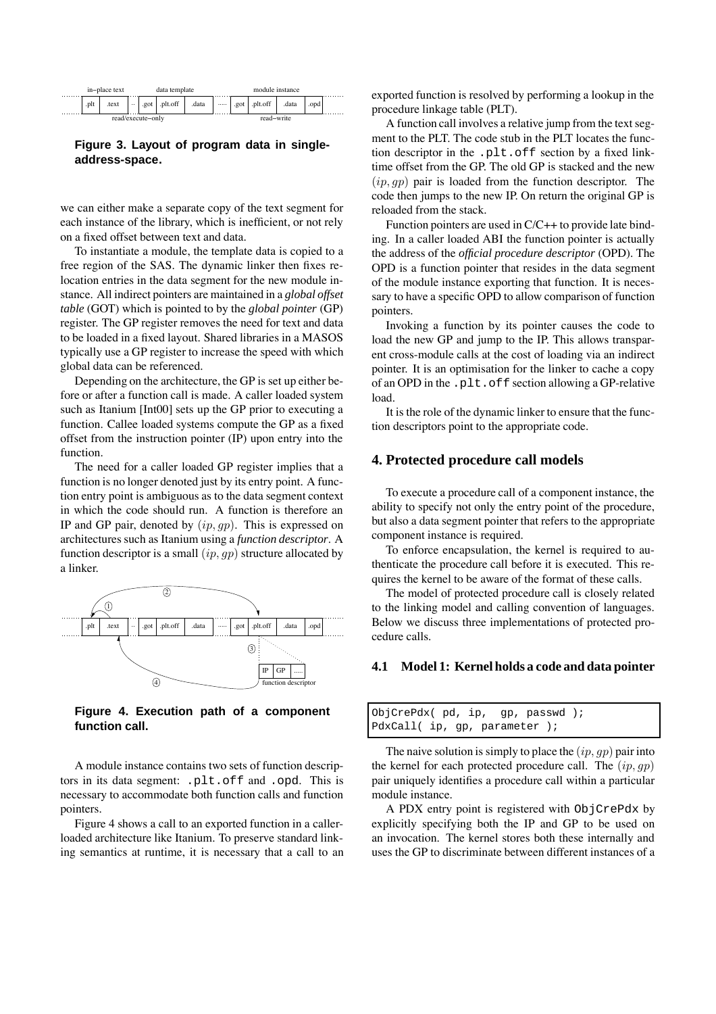| in-place text     |      |       |  |      | lata template |            |  | module instance |  |  |      |  |
|-------------------|------|-------|--|------|---------------|------------|--|-----------------|--|--|------|--|
|                   | .plt | .text |  | .got |               | .data      |  | .go             |  |  | .opd |  |
| read/execute-only |      |       |  |      |               | read-write |  |                 |  |  |      |  |

## **Figure 3. Layout of program data in singleaddress-space.**

we can either make a separate copy of the text segment for each instance of the library, which is inefficient, or not rely on a fixed offset between text and data.

To instantiate a module, the template data is copied to a free region of the SAS. The dynamic linker then fixes relocation entries in the data segment for the new module instance. All indirect pointers are maintained in a *global offset table* (GOT) which is pointed to by the *global pointer* (GP) register. The GP register removes the need for text and data to be loaded in a fixed layout. Shared libraries in a MASOS typically use a GP register to increase the speed with which global data can be referenced.

Depending on the architecture, the GP is set up either before or after a function call is made. A caller loaded system such as Itanium [Int00] sets up the GP prior to executing a function. Callee loaded systems compute the GP as a fixed offset from the instruction pointer (IP) upon entry into the function.

The need for a caller loaded GP register implies that a function is no longer denoted just by its entry point. A function entry point is ambiguous as to the data segment context in which the code should run. A function is therefore an IP and GP pair, denoted by (*ip, gp*). This is expressed on architectures such as Itanium using a *function descriptor*. A function descriptor is a small (*ip, gp*) structure allocated by a linker.



### **Figure 4. Execution path of a component function call.**

A module instance contains two sets of function descriptors in its data segment: .plt.off and .opd. This is necessary to accommodate both function calls and function pointers.

Figure 4 shows a call to an exported function in a callerloaded architecture like Itanium. To preserve standard linking semantics at runtime, it is necessary that a call to an exported function is resolved by performing a lookup in the procedure linkage table (PLT).

A function call involves a relative jump from the text segment to the PLT. The code stub in the PLT locates the function descriptor in the .plt.off section by a fixed linktime offset from the GP. The old GP is stacked and the new (*ip, gp*) pair is loaded from the function descriptor. The code then jumps to the new IP. On return the original GP is reloaded from the stack.

Function pointers are used in C/C++ to provide late binding. In a caller loaded ABI the function pointer is actually the address of the *official procedure descriptor* (OPD). The OPD is a function pointer that resides in the data segment of the module instance exporting that function. It is necessary to have a specific OPD to allow comparison of function pointers.

Invoking a function by its pointer causes the code to load the new GP and jump to the IP. This allows transparent cross-module calls at the cost of loading via an indirect pointer. It is an optimisation for the linker to cache a copy of an OPD in the .plt.off section allowing a GP-relative load.

It is the role of the dynamic linker to ensure that the function descriptors point to the appropriate code.

### **4. Protected procedure call models**

To execute a procedure call of a component instance, the ability to specify not only the entry point of the procedure, but also a data segment pointer that refers to the appropriate component instance is required.

To enforce encapsulation, the kernel is required to authenticate the procedure call before it is executed. This requires the kernel to be aware of the format of these calls.

The model of protected procedure call is closely related to the linking model and calling convention of languages. Below we discuss three implementations of protected procedure calls.

#### **4.1 Model 1: Kernel holds a code and data pointer**

| ObjCrePdx(pd, ip, gp, passwd); |  |  |  |  |
|--------------------------------|--|--|--|--|
| PdxCall(ip, gp, parameter );   |  |  |  |  |

The naive solution is simply to place the (*ip, gp*) pair into the kernel for each protected procedure call. The (*ip, gp*) pair uniquely identifies a procedure call within a particular module instance.

A PDX entry point is registered with ObjCrePdx by explicitly specifying both the IP and GP to be used on an invocation. The kernel stores both these internally and uses the GP to discriminate between different instances of a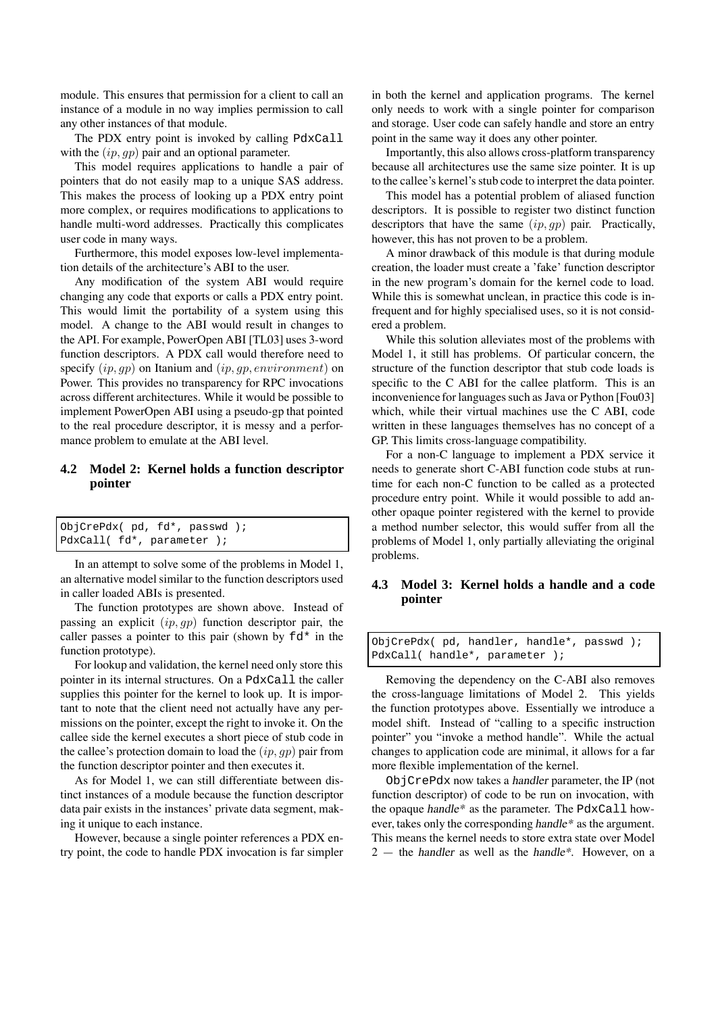module. This ensures that permission for a client to call an instance of a module in no way implies permission to call any other instances of that module.

The PDX entry point is invoked by calling PdxCall with the (*ip, gp*) pair and an optional parameter.

This model requires applications to handle a pair of pointers that do not easily map to a unique SAS address. This makes the process of looking up a PDX entry point more complex, or requires modifications to applications to handle multi-word addresses. Practically this complicates user code in many ways.

Furthermore, this model exposes low-level implementation details of the architecture's ABI to the user.

Any modification of the system ABI would require changing any code that exports or calls a PDX entry point. This would limit the portability of a system using this model. A change to the ABI would result in changes to the API. For example, PowerOpen ABI [TL03] uses 3-word function descriptors. A PDX call would therefore need to specify (*ip, gp*) on Itanium and (*ip, gp, environment*) on Power. This provides no transparency for RPC invocations across different architectures. While it would be possible to implement PowerOpen ABI using a pseudo-gp that pointed to the real procedure descriptor, it is messy and a performance problem to emulate at the ABI level.

# **4.2 Model 2: Kernel holds a function descriptor pointer**

ObjCrePdx( pd, fd\*, passwd ); PdxCall( fd\*, parameter );

In an attempt to solve some of the problems in Model 1, an alternative model similar to the function descriptors used in caller loaded ABIs is presented.

The function prototypes are shown above. Instead of passing an explicit (*ip, gp*) function descriptor pair, the caller passes a pointer to this pair (shown by  $fd*$  in the function prototype).

For lookup and validation, the kernel need only store this pointer in its internal structures. On a PdxCall the caller supplies this pointer for the kernel to look up. It is important to note that the client need not actually have any permissions on the pointer, except the right to invoke it. On the callee side the kernel executes a short piece of stub code in the callee's protection domain to load the (*ip, gp*) pair from the function descriptor pointer and then executes it.

As for Model 1, we can still differentiate between distinct instances of a module because the function descriptor data pair exists in the instances' private data segment, making it unique to each instance.

However, because a single pointer references a PDX entry point, the code to handle PDX invocation is far simpler in both the kernel and application programs. The kernel only needs to work with a single pointer for comparison and storage. User code can safely handle and store an entry point in the same way it does any other pointer.

Importantly, this also allows cross-platform transparency because all architectures use the same size pointer. It is up to the callee's kernel's stub code to interpret the data pointer.

This model has a potential problem of aliased function descriptors. It is possible to register two distinct function descriptors that have the same (*ip, gp*) pair. Practically, however, this has not proven to be a problem.

A minor drawback of this module is that during module creation, the loader must create a 'fake' function descriptor in the new program's domain for the kernel code to load. While this is somewhat unclean, in practice this code is infrequent and for highly specialised uses, so it is not considered a problem.

While this solution alleviates most of the problems with Model 1, it still has problems. Of particular concern, the structure of the function descriptor that stub code loads is specific to the C ABI for the callee platform. This is an inconvenience for languages such as Java or Python [Fou03] which, while their virtual machines use the C ABI, code written in these languages themselves has no concept of a GP. This limits cross-language compatibility.

For a non-C language to implement a PDX service it needs to generate short C-ABI function code stubs at runtime for each non-C function to be called as a protected procedure entry point. While it would possible to add another opaque pointer registered with the kernel to provide a method number selector, this would suffer from all the problems of Model 1, only partially alleviating the original problems.

# **4.3 Model 3: Kernel holds a handle and a code pointer**

ObjCrePdx( pd, handler, handle\*, passwd ); PdxCall( handle\*, parameter );

Removing the dependency on the C-ABI also removes the cross-language limitations of Model 2. This yields the function prototypes above. Essentially we introduce a model shift. Instead of "calling to a specific instruction pointer" you "invoke a method handle". While the actual changes to application code are minimal, it allows for a far more flexible implementation of the kernel.

ObjCrePdx now takes a handler parameter, the IP (not function descriptor) of code to be run on invocation, with the opaque handle\* as the parameter. The PdxCall however, takes only the corresponding handle\* as the argument. This means the kernel needs to store extra state over Model  $2 -$  the handler as well as the handle\*. However, on a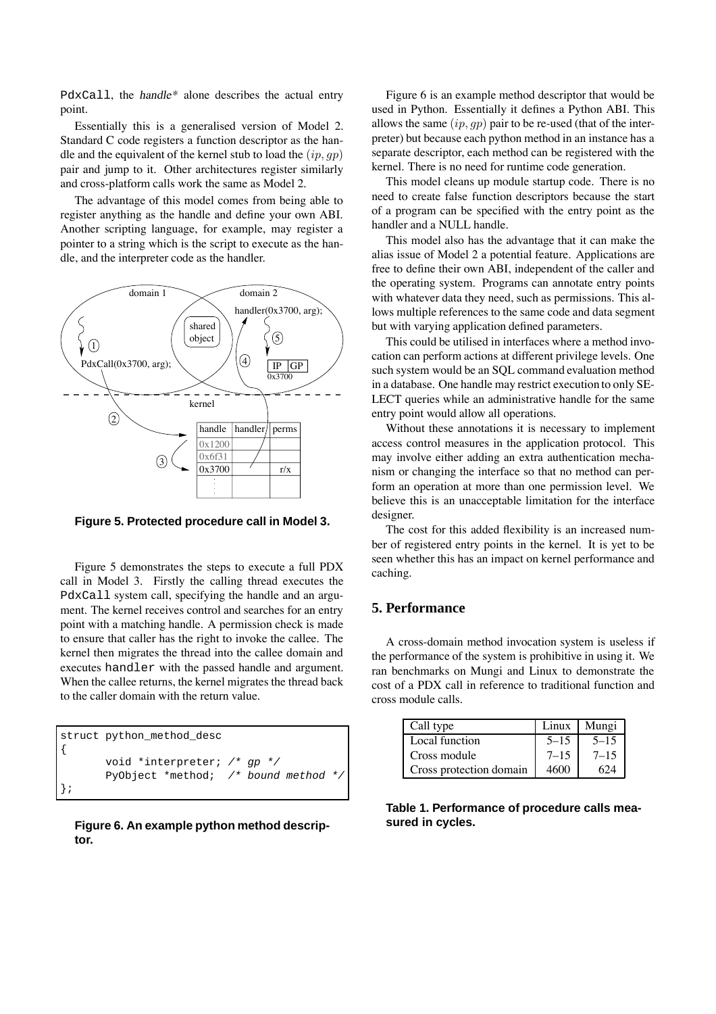PdxCall, the handle\* alone describes the actual entry point.

Essentially this is a generalised version of Model 2. Standard C code registers a function descriptor as the handle and the equivalent of the kernel stub to load the (*ip, gp*) pair and jump to it. Other architectures register similarly and cross-platform calls work the same as Model 2.

The advantage of this model comes from being able to register anything as the handle and define your own ABI. Another scripting language, for example, may register a pointer to a string which is the script to execute as the handle, and the interpreter code as the handler.



**Figure 5. Protected procedure call in Model 3.**

Figure 5 demonstrates the steps to execute a full PDX call in Model 3. Firstly the calling thread executes the PdxCall system call, specifying the handle and an argument. The kernel receives control and searches for an entry point with a matching handle. A permission check is made to ensure that caller has the right to invoke the callee. The kernel then migrates the thread into the callee domain and executes handler with the passed handle and argument. When the callee returns, the kernel migrates the thread back to the caller domain with the return value.

```
struct python_method_desc
{
       void *interpreter; /* gp */
       PyObject *method; /* bound method */
};
```
**Figure 6. An example python method descriptor.**

Figure 6 is an example method descriptor that would be used in Python. Essentially it defines a Python ABI. This allows the same (*ip, gp*) pair to be re-used (that of the interpreter) but because each python method in an instance has a separate descriptor, each method can be registered with the kernel. There is no need for runtime code generation.

This model cleans up module startup code. There is no need to create false function descriptors because the start of a program can be specified with the entry point as the handler and a NULL handle.

This model also has the advantage that it can make the alias issue of Model 2 a potential feature. Applications are free to define their own ABI, independent of the caller and the operating system. Programs can annotate entry points with whatever data they need, such as permissions. This allows multiple references to the same code and data segment but with varying application defined parameters.

This could be utilised in interfaces where a method invocation can perform actions at different privilege levels. One such system would be an SQL command evaluation method in a database. One handle may restrict execution to only SE-LECT queries while an administrative handle for the same entry point would allow all operations.

Without these annotations it is necessary to implement access control measures in the application protocol. This may involve either adding an extra authentication mechanism or changing the interface so that no method can perform an operation at more than one permission level. We believe this is an unacceptable limitation for the interface designer.

The cost for this added flexibility is an increased number of registered entry points in the kernel. It is yet to be seen whether this has an impact on kernel performance and caching.

#### **5. Performance**

A cross-domain method invocation system is useless if the performance of the system is prohibitive in using it. We ran benchmarks on Mungi and Linux to demonstrate the cost of a PDX call in reference to traditional function and cross module calls.

| Call type               | Linux    | Mungi    |
|-------------------------|----------|----------|
| Local function          | $5 - 15$ | $5 - 15$ |
| Cross module            | $7 - 15$ | $7 - 15$ |
| Cross protection domain | 4600     | 624      |

**Table 1. Performance of procedure calls measured in cycles.**